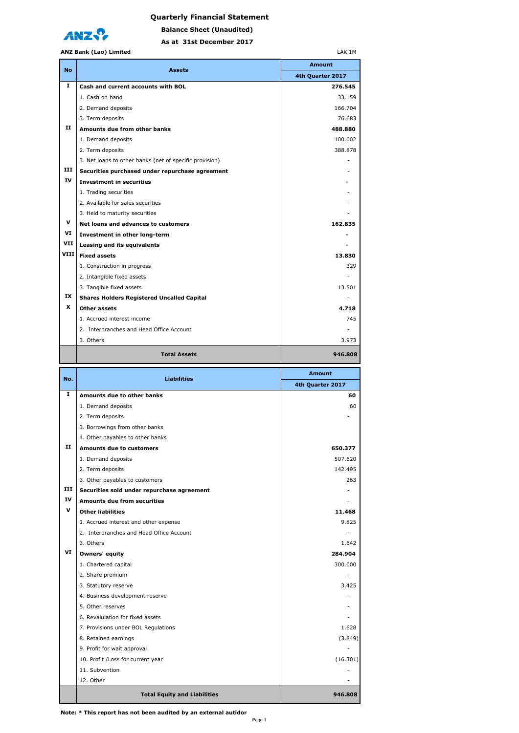



**As at 31st December 2017 Balance Sheet (Unaudited)**

|           | <b>ANZ Bank (Lao) Limited</b><br>LAK'1M                             |                          |  |
|-----------|---------------------------------------------------------------------|--------------------------|--|
| <b>No</b> | <b>Assets</b>                                                       | <b>Amount</b>            |  |
|           |                                                                     | 4th Quarter 2017         |  |
| 1         | Cash and current accounts with BOL                                  | 276.545                  |  |
|           | 1. Cash on hand                                                     | 33.159                   |  |
|           | 2. Demand deposits                                                  | 166.704                  |  |
|           | 3. Term deposits                                                    | 76.683                   |  |
| п         | Amounts due from other banks                                        | 488.880                  |  |
|           | 1. Demand deposits                                                  | 100.002                  |  |
|           | 2. Term deposits                                                    | 388.878                  |  |
|           | 3. Net loans to other banks (net of specific provision)             |                          |  |
| ш         | Securities purchased under repurchase agreement                     |                          |  |
| ΙV        | <b>Investment in securities</b>                                     |                          |  |
|           | 1. Trading securities                                               |                          |  |
|           | 2. Available for sales securities                                   |                          |  |
|           | 3. Held to maturity securities                                      |                          |  |
| v         | Net loans and advances to customers                                 | 162.835                  |  |
| VI        | Investment in other long-term                                       |                          |  |
| VII       | Leasing and its equivalents                                         |                          |  |
| VIII      | <b>Fixed assets</b>                                                 | 13.830                   |  |
|           | 1. Construction in progress                                         | 329                      |  |
|           | 2. Intangible fixed assets                                          |                          |  |
|           | 3. Tangible fixed assets                                            | 13.501                   |  |
| IX        | <b>Shares Holders Registered Uncalled Capital</b>                   |                          |  |
| x         | Other assets                                                        | 4.718                    |  |
|           | 1. Accrued interest income                                          | 745                      |  |
|           |                                                                     |                          |  |
|           | 2. Interbranches and Head Office Account                            |                          |  |
|           | 3. Others                                                           | 3.973                    |  |
|           | <b>Total Assets</b>                                                 | 946.808                  |  |
|           |                                                                     |                          |  |
| No.       | <b>Liabilities</b>                                                  | <b>Amount</b>            |  |
| 1         |                                                                     | 4th Quarter 2017         |  |
|           | Amounts due to other banks                                          | 60                       |  |
|           | 1. Demand deposits                                                  | 60                       |  |
|           | 2. Term deposits                                                    |                          |  |
|           | 3. Borrowings from other banks                                      |                          |  |
| п         | 4. Other payables to other banks<br><b>Amounts due to customers</b> |                          |  |
|           |                                                                     | 650.377<br>507.620       |  |
|           | 1. Demand deposits                                                  | 142.495                  |  |
|           | 2. Term deposits                                                    | 263                      |  |
| ш         | 3. Other payables to customers                                      |                          |  |
| ΙV        | Securities sold under repurchase agreement                          | $\sim$                   |  |
| v         | <b>Amounts due from securities</b><br><b>Other liabilities</b>      |                          |  |
|           |                                                                     | 11.468<br>9.825          |  |
|           | 1. Accrued interest and other expense                               | $\sim$                   |  |
|           | 2. Interbranches and Head Office Account<br>3. Others               |                          |  |
| VI        |                                                                     | 1.642<br>284.904         |  |
|           | Owners' equity                                                      | 300.000                  |  |
|           | 1. Chartered capital                                                | $\overline{\phantom{a}}$ |  |
|           | 2. Share premium<br>3. Statutory reserve                            | 3.425                    |  |

 4. Business development reserve - 5. Other reserves - 6. Revalulation for fixed assets - 7. Provisions under BOL Regulations 1.628 8. Retained earnings (3.849) 9. Profit for wait approval and the set of the set of the set of the set of the set of the set of the set of the set of the set of the set of the set of the set of the set of the set of the set of the set of the set of the 10. Profit /Loss for current year (16.301) 11. Subvention **and the contract of the contract of the contract of the contract of the contract of the contract of the contract of the contract of the contract of the contract of the contract of the contract of the contra** 12. Other and the contract of the contract of the contract of the contract of the contract of the contract of the contract of the contract of the contract of the contract of the contract of the contract of the contract of

**Total Equity and Liabilities 1946.808 1946.808**